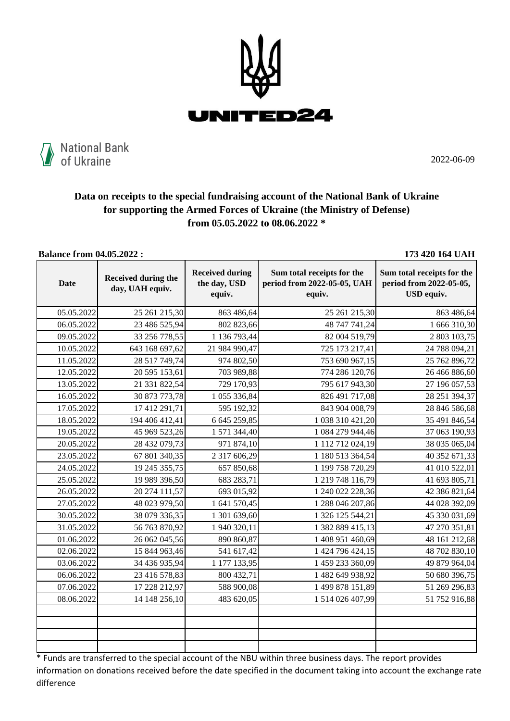



2022-06-09

## **Data on receipts to the special fundraising account of the National Bank of Ukraine for supporting the Armed Forces of Ukraine (the Ministry of Defense) from 05.05.2022 to 08.06.2022 \***

**Balance from 04.05.2022 : 173 420 164 UAH**

| <b>Date</b> | <b>Received during the</b><br>day, UAH equiv. | <b>Received during</b><br>the day, USD<br>equiv. | Sum total receipts for the<br>period from 2022-05-05, UAH<br>equiv. | Sum total receipts for the<br>period from 2022-05-05,<br>USD equiv. |
|-------------|-----------------------------------------------|--------------------------------------------------|---------------------------------------------------------------------|---------------------------------------------------------------------|
| 05.05.2022  | 25 261 215,30                                 | 863 486,64                                       | 25 261 215,30                                                       | 863 486,64                                                          |
| 06.05.2022  | 23 486 525,94                                 | 802 823,66                                       | 48 747 741,24                                                       | 1 666 310,30                                                        |
| 09.05.2022  | 33 256 778,55                                 | 1 136 793,44                                     | 82 004 519,79                                                       | 2 803 103,75                                                        |
| 10.05.2022  | 643 168 697,62                                | 21 984 990,47                                    | 725 173 217,41                                                      | 24 788 094,21                                                       |
| 11.05.2022  | 28 517 749,74                                 | 974 802,50                                       | 753 690 967,15                                                      | 25 762 896,72                                                       |
| 12.05.2022  | 20 595 153,61                                 | 703 989,88                                       | 774 286 120,76                                                      | 26 466 886,60                                                       |
| 13.05.2022  | 21 331 822,54                                 | 729 170,93                                       | 795 617 943,30                                                      | 27 196 057,53                                                       |
| 16.05.2022  | 30 873 773,78                                 | 1 055 336,84                                     | 826 491 717,08                                                      | 28 251 394,37                                                       |
| 17.05.2022  | 17 412 291,71                                 | 595 192,32                                       | 843 904 008,79                                                      | 28 846 586,68                                                       |
| 18.05.2022  | 194 406 412,41                                | 6 645 259,85                                     | 1 038 310 421,20                                                    | 35 491 846,54                                                       |
| 19.05.2022  | 45 969 523,26                                 | 1 571 344,40                                     | 1 084 279 944,46                                                    | 37 063 190,93                                                       |
| 20.05.2022  | 28 432 079,73                                 | 971 874,10                                       | 1 112 712 024,19                                                    | 38 035 065,04                                                       |
| 23.05.2022  | 67 801 340,35                                 | 2 317 606,29                                     | 1 180 513 364,54                                                    | 40 352 671,33                                                       |
| 24.05.2022  | 19 245 355,75                                 | 657 850,68                                       | 1 199 758 720,29                                                    | 41 010 522,01                                                       |
| 25.05.2022  | 19 989 396,50                                 | 683 283,71                                       | 1 219 748 116,79                                                    | 41 693 805,71                                                       |
| 26.05.2022  | 20 274 111,57                                 | 693 015,92                                       | 1 240 022 228,36                                                    | 42 386 821,64                                                       |
| 27.05.2022  | 48 023 979,50                                 | 1 641 570,45                                     | 1 288 046 207,86                                                    | 44 028 392,09                                                       |
| 30.05.2022  | 38 079 336,35                                 | 1 301 639,60                                     | 1 326 125 544,21                                                    | 45 330 031,69                                                       |
| 31.05.2022  | 56 763 870,92                                 | 1 940 320,11                                     | 1 382 889 415,13                                                    | 47 270 351,81                                                       |
| 01.06.2022  | 26 062 045,56                                 | 890 860,87                                       | 1 408 951 460,69                                                    | 48 161 212,68                                                       |
| 02.06.2022  | 15 844 963,46                                 | 541 617,42                                       | 1 424 796 424,15                                                    | 48 702 830,10                                                       |
| 03.06.2022  | 34 436 935,94                                 | 1 177 133,95                                     | 1 459 233 360,09                                                    | 49 879 964,04                                                       |
| 06.06.2022  | 23 416 578,83                                 | 800 432,71                                       | 1 482 649 938,92                                                    | 50 680 396,75                                                       |
| 07.06.2022  | 17 228 212,97                                 | 588 900,08                                       | 1 499 878 151,89                                                    | 51 269 296,83                                                       |
| 08.06.2022  | 14 148 256,10                                 | 483 620,05                                       | 1 514 026 407,99                                                    | 51 752 916,88                                                       |
|             |                                               |                                                  |                                                                     |                                                                     |
|             |                                               |                                                  |                                                                     |                                                                     |
|             |                                               |                                                  |                                                                     |                                                                     |
|             |                                               |                                                  |                                                                     |                                                                     |

 $\frac{1}{1}$  \* Funds are transferred to the special account of the NBU within three business days. The report provides information on donations received before the date specified in the document taking into account the exchange rate difference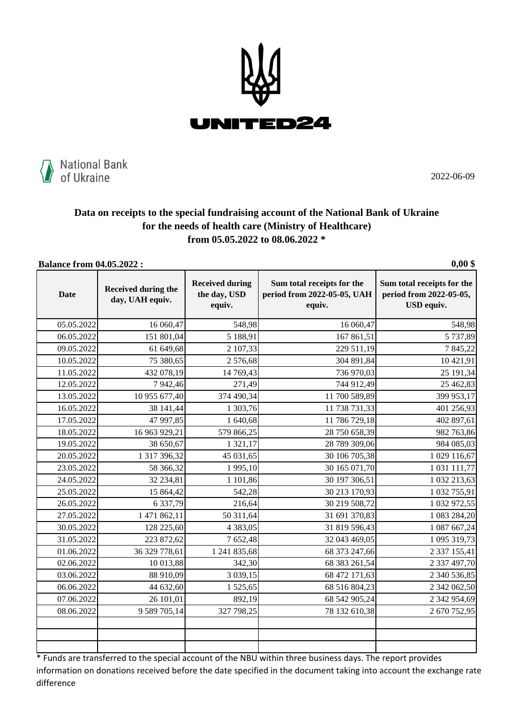



2022-06-09

## **Data on receipts to the special fundraising account of the National Bank of Ukraine for the needs of health care (Ministry of Healthcare) from 05.05.2022 to 08.06.2022 \***

**Balance from 04.05.2022 : 0,00 \$**

|             |                                               |                                                  |                                                                     | -7-- -                                                                     |
|-------------|-----------------------------------------------|--------------------------------------------------|---------------------------------------------------------------------|----------------------------------------------------------------------------|
| <b>Date</b> | <b>Received during the</b><br>day, UAH equiv. | <b>Received during</b><br>the day, USD<br>equiv. | Sum total receipts for the<br>period from 2022-05-05, UAH<br>equiv. | Sum total receipts for the<br>period from 2022-05-05,<br><b>USD</b> equiv. |
| 05.05.2022  | 16 060,47                                     | 548,98                                           | 16 060,47                                                           | 548,98                                                                     |
| 06.05.2022  | 151 801,04                                    | 5 188,91                                         | 167 861,51                                                          | 5 737,89                                                                   |
| 09.05.2022  | 61 649,68                                     | 2 107,33                                         | 229 511,19                                                          | 7845,22                                                                    |
| 10.05.2022  | 75 380,65                                     | 2576,68                                          | 304 891,84                                                          | 10 421,91                                                                  |
| 11.05.2022  | 432 078,19                                    | 14 769,43                                        | 736 970,03                                                          | 25 191,34                                                                  |
| 12.05.2022  | 7 942,46                                      | 271,49                                           | 744 912,49                                                          | 25 462,83                                                                  |
| 13.05.2022  | 10 955 677,40                                 | 374 490,34                                       | 11 700 589,89                                                       | 399 953,17                                                                 |
| 16.05.2022  | 38 141,44                                     | 1 303,76                                         | 11 738 731,33                                                       | 401 256,93                                                                 |
| 17.05.2022  | 47 997,85                                     | 1 640,68                                         | 11 786 729,18                                                       | 402 897,61                                                                 |
| 18.05.2022  | 16 963 929,21                                 | 579 866,25                                       | 28 750 658,39                                                       | 982 763,86                                                                 |
| 19.05.2022  | 38 650,67                                     | 1 321,17                                         | 28 789 309,06                                                       | 984 085,03                                                                 |
| 20.05.2022  | 1 317 396,32                                  | 45 031,65                                        | 30 106 705,38                                                       | 1 029 116,67                                                               |
| 23.05.2022  | 58 366,32                                     | 1995,10                                          | 30 165 071,70                                                       | 1 031 111,77                                                               |
| 24.05.2022  | 32 234,81                                     | 1 101,86                                         | 30 197 306,51                                                       | 1 032 213,63                                                               |
| 25.05.2022  | 15 864,42                                     | 542,28                                           | 30 213 170,93                                                       | 1 032 755,91                                                               |
| 26.05.2022  | 6 337,79                                      | 216,64                                           | 30 219 508,72                                                       | 1 032 972,55                                                               |
| 27.05.2022  | 1 471 862,11                                  | 50 311,64                                        | 31 691 370,83                                                       | 1 083 284,20                                                               |
| 30.05.2022  | 128 225,60                                    | 4 3 8 3 , 0 5                                    | 31 819 596,43                                                       | 1 087 667,24                                                               |
| 31.05.2022  | 223 872,62                                    | 7 652,48                                         | 32 043 469,05                                                       | 1 095 319,73                                                               |
| 01.06.2022  | 36 329 778,61                                 | 1 241 835,68                                     | 68 373 247,66                                                       | 2 337 155,41                                                               |
| 02.06.2022  | 10 013,88                                     | 342,30                                           | 68 383 261,54                                                       | 2 337 497,70                                                               |
| 03.06.2022  | 88 910,09                                     | 3 0 39, 15                                       | 68 472 171,63                                                       | 2 340 536,85                                                               |
| 06.06.2022  | 44 632,60                                     | 1525,65                                          | 68 516 804,23                                                       | 2 342 062,50                                                               |
| 07.06.2022  | 26 101,01                                     | 892,19                                           | 68 542 905,24                                                       | 2 342 954,69                                                               |
| 08.06.2022  | 9 589 705,14                                  | 327 798,25                                       | 78 132 610,38                                                       | 2 670 752,95                                                               |
|             |                                               |                                                  |                                                                     |                                                                            |
|             |                                               |                                                  |                                                                     |                                                                            |
|             |                                               |                                                  |                                                                     |                                                                            |

\* Funds are transferred to the special account of the NBU within three business days. The report provides information on donations received before the date specified in the document taking into account the exchange rate difference